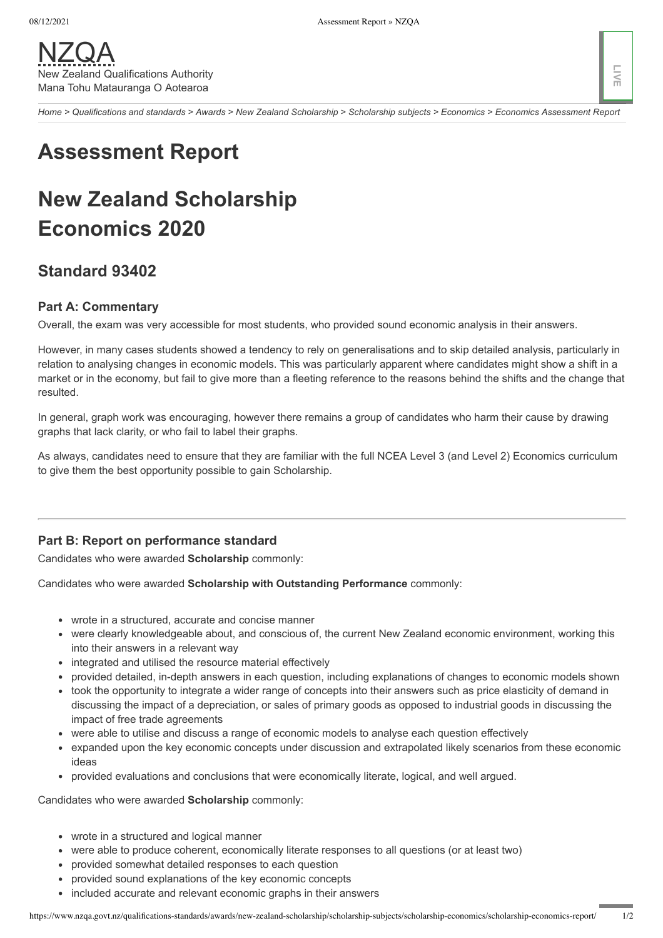Home > Qualifications and standards > Awards > New Zealand Scholarship > Scholarship subjects > Economics > Economics Assessment Report

# **Assessment Report**

## **New Zealand Scholarship** Economics 2020

## **Standard 93402**

### **Part A: Commentary**

Overall, the exam was very accessible for most students, who provided sound economic analysis in their answers.

However, in many cases students showed a tendency to rely on generalisations and to skip detailed analysis, particularly in relation to analysing changes in economic models. This was particularly apparent where candidates might show a shift in a market or in the economy, but fail to give more than a fleeting reference to the reasons behind the shifts and the change that resulted.

In general, graph work was encouraging, however there remains a group of candidates who harm their cause by drawing graphs that lack clarity, or who fail to label their graphs.

As always, candidates need to ensure that they are familiar with the full NCEA Level 3 (and Level 2) Economics curriculum to give them the best opportunity possible to gain Scholarship.

#### Part B: Report on performance standard

Candidates who were awarded Scholarship commonly:

Candidates who were awarded Scholarship with Outstanding Performance commonly:

- wrote in a structured, accurate and concise manner
- were clearly knowledgeable about, and conscious of, the current New Zealand economic environment, working this into their answers in a relevant way
- integrated and utilised the resource material effectively
- provided detailed, in-depth answers in each question, including explanations of changes to economic models shown
- took the opportunity to integrate a wider range of concepts into their answers such as price elasticity of demand in discussing the impact of a depreciation, or sales of primary goods as opposed to industrial goods in discussing the impact of free trade agreements
- were able to utilise and discuss a range of economic models to analyse each question effectively
- expanded upon the key economic concepts under discussion and extrapolated likely scenarios from these economic ideas
- provided evaluations and conclusions that were economically literate, logical, and well argued.

Candidates who were awarded Scholarship commonly:

- wrote in a structured and logical manner
- were able to produce coherent, economically literate responses to all questions (or at least two)
- provided somewhat detailed responses to each question
- provided sound explanations of the key economic concepts
- included accurate and relevant economic graphs in their answers